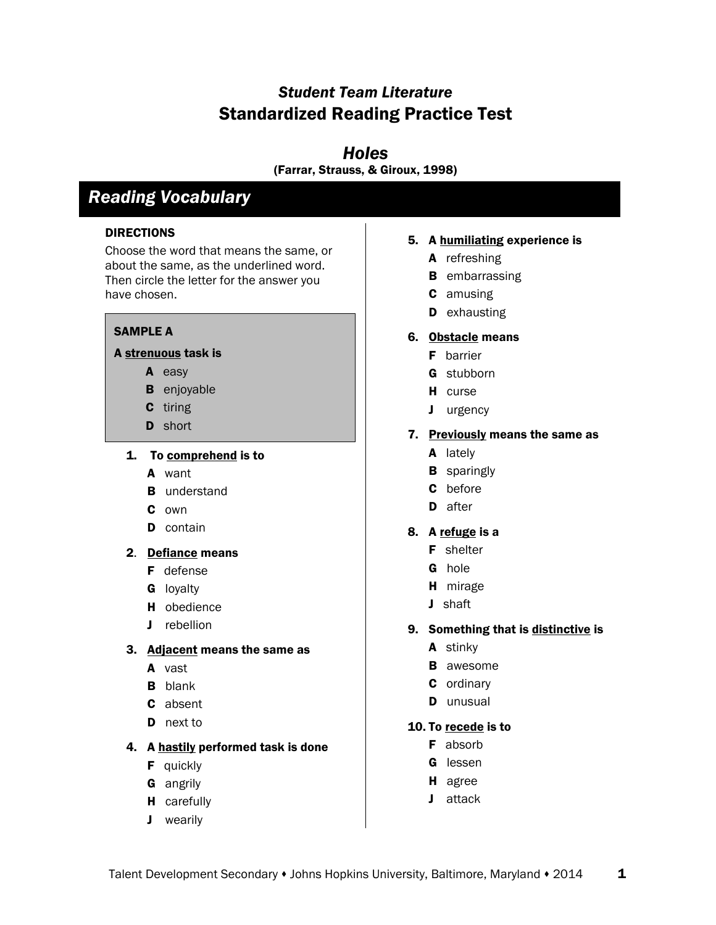# *Student Team Literature*  Standardized Reading Practice Test

# *Holes*  (Farrar, Strauss, & Giroux, 1998)

i

# *Reading Vocabulary*

# **DIRECTIONS**

Choose the word that means the same, or about the same, as the underlined word. Then circle the letter for the answer you have chosen.

# SAMPLE A

# A strenuous task is

- A easy
- **B** enjoyable
- C tiring
- **D** short

# 1. To comprehend is to

- A want
- **B** understand
- C own
- **D** contain

# 2. Defiance means

- F defense
- G loyalty
- **H** obedience
- **J** rebellion

# 3. Adjacent means the same as

- A vast
- **B** blank
- C absent
- D next to

# 4. A hastily performed task is done

- **F** quickly
- G angrily
- **H** carefully
- **J** wearily

# 5. A humiliating experience is

- A refreshing
- **B** embarrassing
- C amusing
- **D** exhausting

# 6. Obstacle means

- F barrier
- G stubborn
- H curse
- **J** urgency

# 7. Previously means the same as

- A lately
- **B** sparingly
- C before
- **D** after

# 8. A refuge is a

- F shelter
- G hole
- H mirage
- J shaft

# 9. Something that is distinctive is

- A stinky
- **B** awesome
- C ordinary
- **D** unusual

# 10. To recede is to

- F absorb
- G lessen
- H agree
- J attack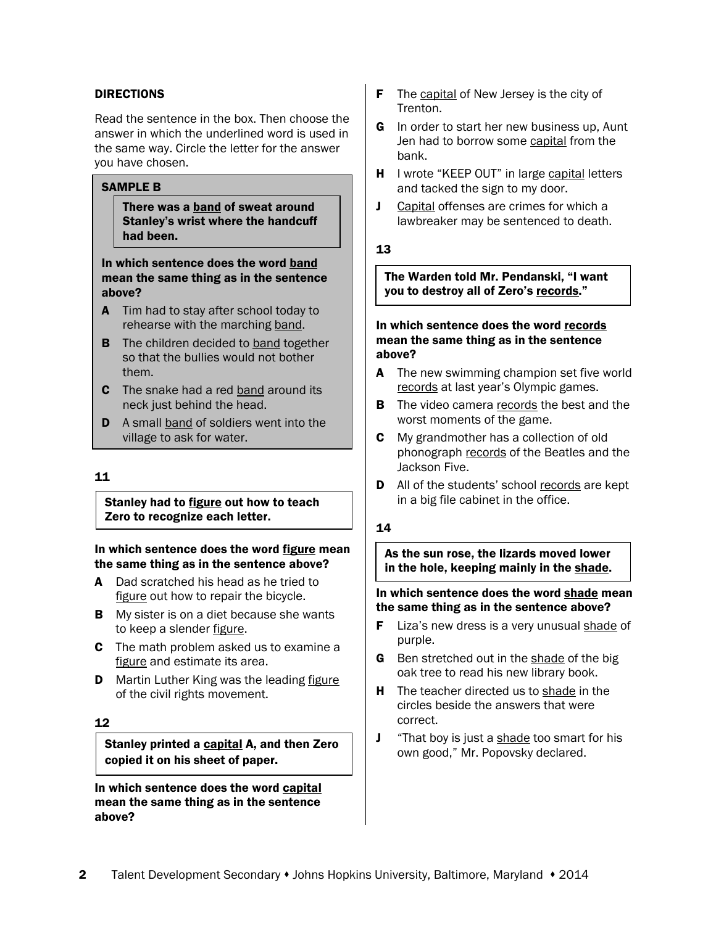#### DIRECTIONS

Read the sentence in the box. Then choose the answer in which the underlined word is used in the same way. Circle the letter for the answer you have chosen.

#### SAMPLE B

There was a band of sweat around Stanley's wrist where the handcuff had been.

In which sentence does the word band mean the same thing as in the sentence above?

- A Tim had to stay after school today to rehearse with the marching band.
- **B** The children decided to band together so that the bullies would not bother them.
- **C** The snake had a red band around its neck just behind the head.
- **D** A small band of soldiers went into the village to ask for water.

#### 11

Stanley had to figure out how to teach Zero to recognize each letter.

#### In which sentence does the word figure mean the same thing as in the sentence above?

- A Dad scratched his head as he tried to figure out how to repair the bicycle.
- **B** My sister is on a diet because she wants to keep a slender figure.
- **C** The math problem asked us to examine a figure and estimate its area.
- **D** Martin Luther King was the leading figure of the civil rights movement.

#### 12

Stanley printed a capital A, and then Zero copied it on his sheet of paper.

In which sentence does the word capital mean the same thing as in the sentence above?

- **F** The capital of New Jersey is the city of Trenton.
- **G** In order to start her new business up, Aunt Jen had to borrow some capital from the bank.
- H I wrote "KEEP OUT" in large capital letters and tacked the sign to my door.
- **J** Capital offenses are crimes for which a lawbreaker may be sentenced to death.

#### 13

The Warden told Mr. Pendanski, "I want you to destroy all of Zero's records."

#### In which sentence does the word records mean the same thing as in the sentence above?

- A The new swimming champion set five world records at last year's Olympic games.
- **B** The video camera records the best and the worst moments of the game.
- **C** My grandmother has a collection of old phonograph records of the Beatles and the Jackson Five.
- **D** All of the students' school records are kept in a big file cabinet in the office.

#### 14

As the sun rose, the lizards moved lower in the hole, keeping mainly in the shade.

#### In which sentence does the word shade mean the same thing as in the sentence above?

- **F** Liza's new dress is a very unusual shade of purple.
- **G** Ben stretched out in the shade of the big oak tree to read his new library book.
- **H** The teacher directed us to shade in the circles beside the answers that were correct.
- **J** "That boy is just a shade too smart for his own good," Mr. Popovsky declared.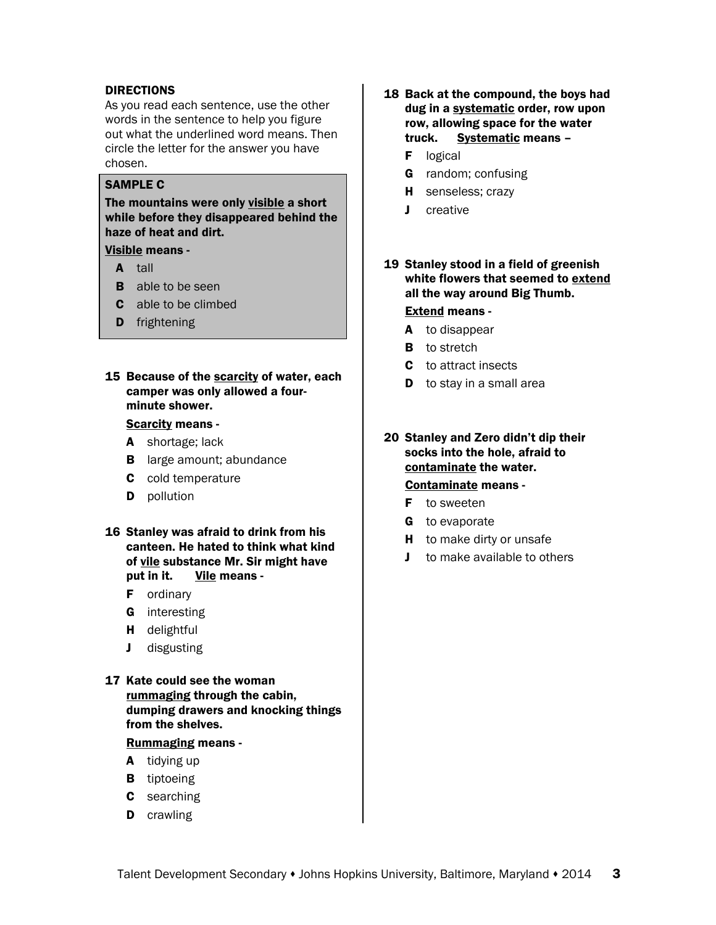#### **DIRECTIONS**

As you read each sentence, use the other words in the sentence to help you figure out what the underlined word means. Then circle the letter for the answer you have chosen.

#### SAMPLE C

The mountains were only visible a short while before they disappeared behind the haze of heat and dirt.

# Visible means -

- A tall
- **B** able to be seen
- C able to be climbed
- **D** frightening

#### 15 Because of the scarcity of water, each camper was only allowed a fourminute shower.

# Scarcity means -

- A shortage; lack
- **B** large amount; abundance
- C cold temperature
- **D** pollution
- 16 Stanley was afraid to drink from his canteen. He hated to think what kind of vile substance Mr. Sir might have put in it. Vile means -
	- **F** ordinary
	- G interesting
	- **H** delightful
	- **J** disgusting
- 17 Kate could see the woman rummaging through the cabin, dumping drawers and knocking things from the shelves.

#### Rummaging means -

- A tidying up
- **B** tiptoeing
- C searching
- **D** crawling
- 18 Back at the compound, the boys had dug in a systematic order, row upon row, allowing space for the water truck. Systematic means –
	- **F** logical
	- **G** random; confusing
	- **H** senseless; crazy
	- **J** creative
- 19 Stanley stood in a field of greenish white flowers that seemed to extend all the way around Big Thumb. Extend means -

- A to disappear
- **B** to stretch
- C to attract insects
- **D** to stay in a small area

#### 20 Stanley and Zero didn't dip their socks into the hole, afraid to contaminate the water.

#### Contaminate means -

- **F** to sweeten
- **G** to evaporate
- **H** to make dirty or unsafe
- **J** to make available to others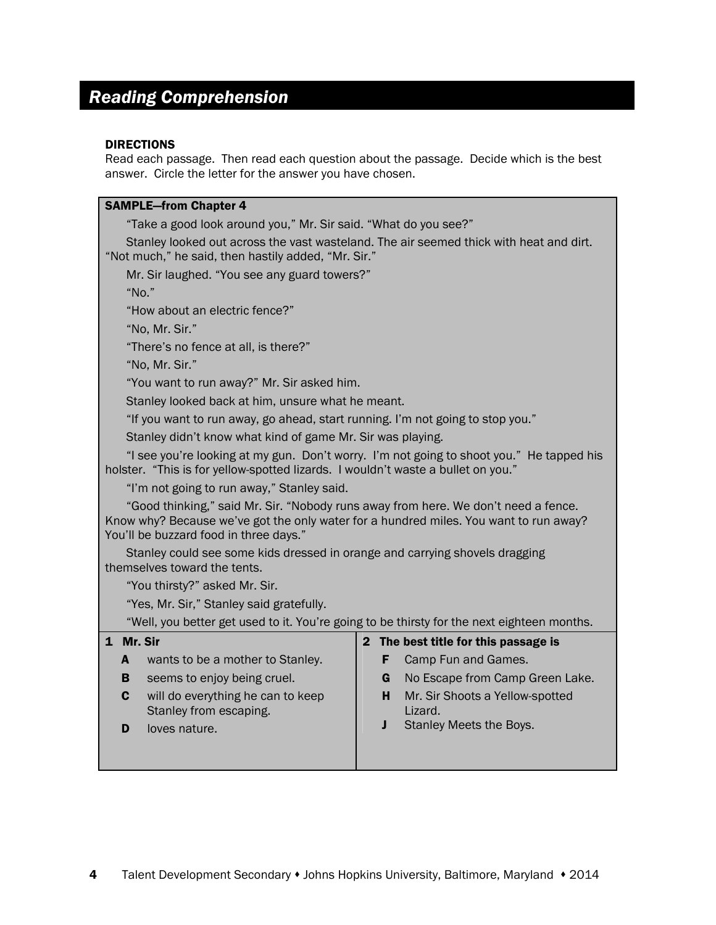# *Reading Comprehension*

### DIRECTIONS

Read each passage. Then read each question about the passage. Decide which is the best answer. Circle the letter for the answer you have chosen.

#### SAMPLE—from Chapter 4

"Take a good look around you," Mr. Sir said. "What do you see?"

Stanley looked out across the vast wasteland. The air seemed thick with heat and dirt. "Not much," he said, then hastily added, "Mr. Sir."

Mr. Sir laughed. "You see any guard towers?"

"No."

"How about an electric fence?"

"No, Mr. Sir."

"There's no fence at all, is there?"

"No, Mr. Sir."

"You want to run away?" Mr. Sir asked him.

Stanley looked back at him, unsure what he meant.

"If you want to run away, go ahead, start running. I'm not going to stop you."

Stanley didn't know what kind of game Mr. Sir was playing.

"I see you're looking at my gun. Don't worry. I'm not going to shoot you." He tapped his holster. "This is for yellow-spotted lizards. I wouldn't waste a bullet on you."

"I'm not going to run away," Stanley said.

"Good thinking," said Mr. Sir. "Nobody runs away from here. We don't need a fence. Know why? Because we've got the only water for a hundred miles. You want to run away? You'll be buzzard food in three days."

Stanley could see some kids dressed in orange and carrying shovels dragging themselves toward the tents.

"You thirsty?" asked Mr. Sir.

"Yes, Mr. Sir," Stanley said gratefully.

"Well, you better get used to it. You're going to be thirsty for the next eighteen months.

| Mr. Sir |                                                             | 2 The best title for this passage is |                                            |
|---------|-------------------------------------------------------------|--------------------------------------|--------------------------------------------|
| A       | wants to be a mother to Stanley.                            |                                      | Camp Fun and Games.                        |
| в       | seems to enjoy being cruel.                                 | G                                    | No Escape from Camp Green Lake.            |
| C       | will do everything he can to keep<br>Stanley from escaping. | н                                    | Mr. Sir Shoots a Yellow-spotted<br>Lizard. |
|         | loves nature.                                               |                                      | Stanley Meets the Boys.                    |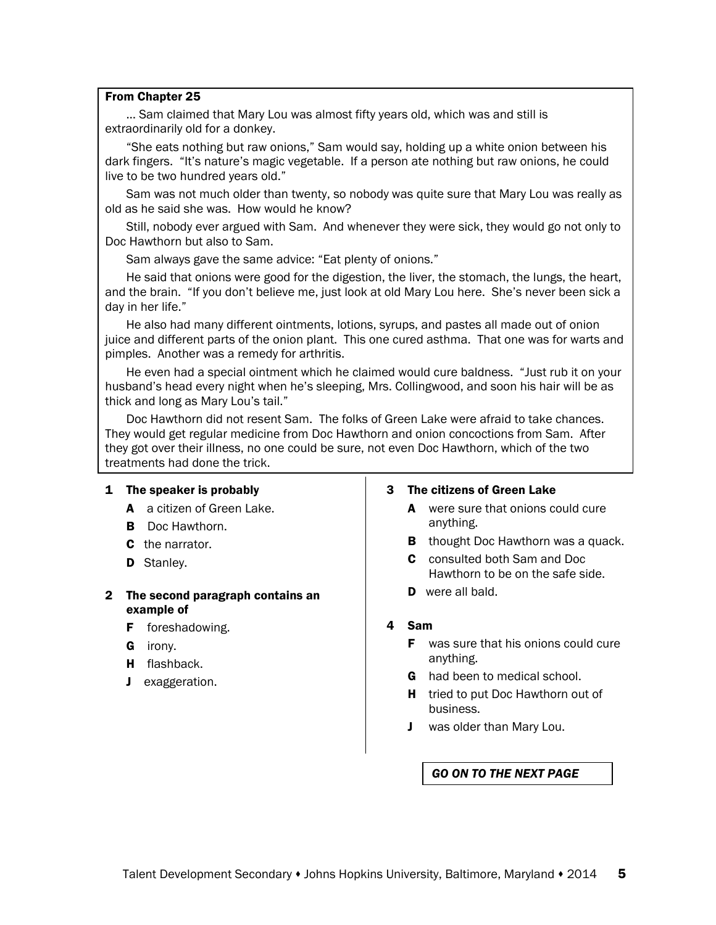#### From Chapter 25

… Sam claimed that Mary Lou was almost fifty years old, which was and still is extraordinarily old for a donkey.

"She eats nothing but raw onions," Sam would say, holding up a white onion between his dark fingers. "It's nature's magic vegetable. If a person ate nothing but raw onions, he could live to be two hundred years old."

Sam was not much older than twenty, so nobody was quite sure that Mary Lou was really as old as he said she was. How would he know?

Still, nobody ever argued with Sam. And whenever they were sick, they would go not only to Doc Hawthorn but also to Sam.

Sam always gave the same advice: "Eat plenty of onions."

He said that onions were good for the digestion, the liver, the stomach, the lungs, the heart, and the brain. "If you don't believe me, just look at old Mary Lou here. She's never been sick a day in her life."

He also had many different ointments, lotions, syrups, and pastes all made out of onion juice and different parts of the onion plant. This one cured asthma. That one was for warts and pimples. Another was a remedy for arthritis.

He even had a special ointment which he claimed would cure baldness. "Just rub it on your husband's head every night when he's sleeping, Mrs. Collingwood, and soon his hair will be as thick and long as Mary Lou's tail."

Doc Hawthorn did not resent Sam. The folks of Green Lake were afraid to take chances. They would get regular medicine from Doc Hawthorn and onion concoctions from Sam. After they got over their illness, no one could be sure, not even Doc Hawthorn, which of the two treatments had done the trick.

#### 1 The speaker is probably

- A a citizen of Green Lake.
- **B** Doc Hawthorn.
- C the narrator.
- D Stanley.

#### 2 The second paragraph contains an example of

- **F** foreshadowing.
- G irony.
- H flashback.
- **J** exaggeration.

#### 3 The citizens of Green Lake

- A were sure that onions could cure anything.
- **B** thought Doc Hawthorn was a quack.
- **C** consulted both Sam and Doc Hawthorn to be on the safe side.
- D were all bald.

#### 4 Sam

- **F** was sure that his onions could cure anything.
- **G** had been to medical school.
- **H** tried to put Doc Hawthorn out of business.
- **J** was older than Mary Lou.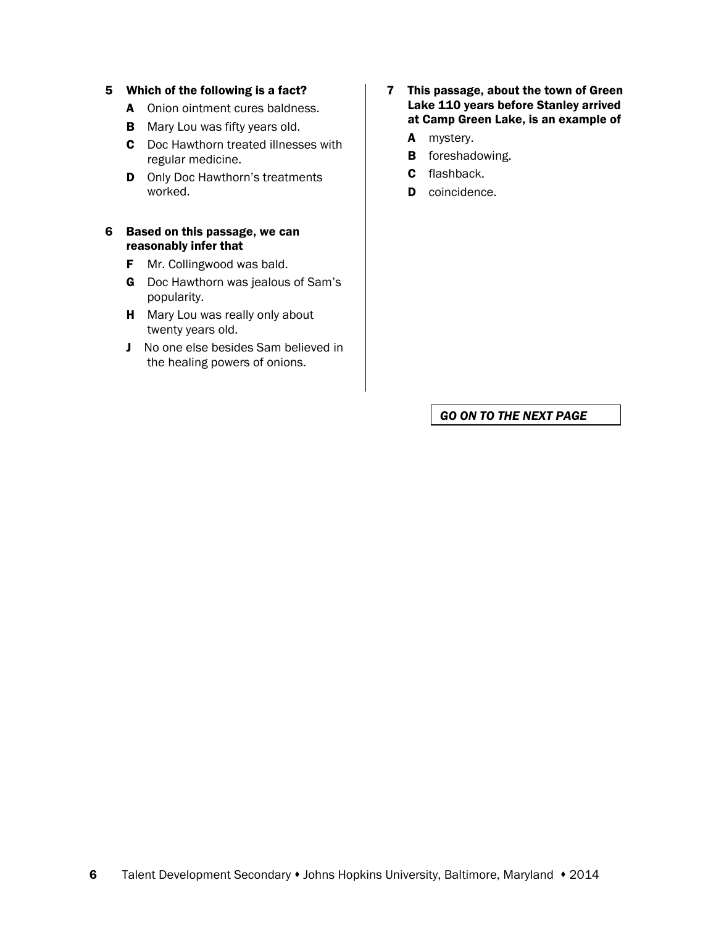#### 5 Which of the following is a fact?

- A Onion ointment cures baldness.
- **B** Mary Lou was fifty years old.
- **C** Doc Hawthorn treated illnesses with regular medicine.
- **D** Only Doc Hawthorn's treatments worked.
- 6 Based on this passage, we can reasonably infer that
	- **F** Mr. Collingwood was bald.
	- G Doc Hawthorn was jealous of Sam's popularity.
	- **H** Mary Lou was really only about twenty years old.
	- J No one else besides Sam believed in the healing powers of onions.
- 7 This passage, about the town of Green Lake 110 years before Stanley arrived at Camp Green Lake, is an example of
	- A mystery.
	- **B** foreshadowing.
	- C flashback.
	- **D** coincidence.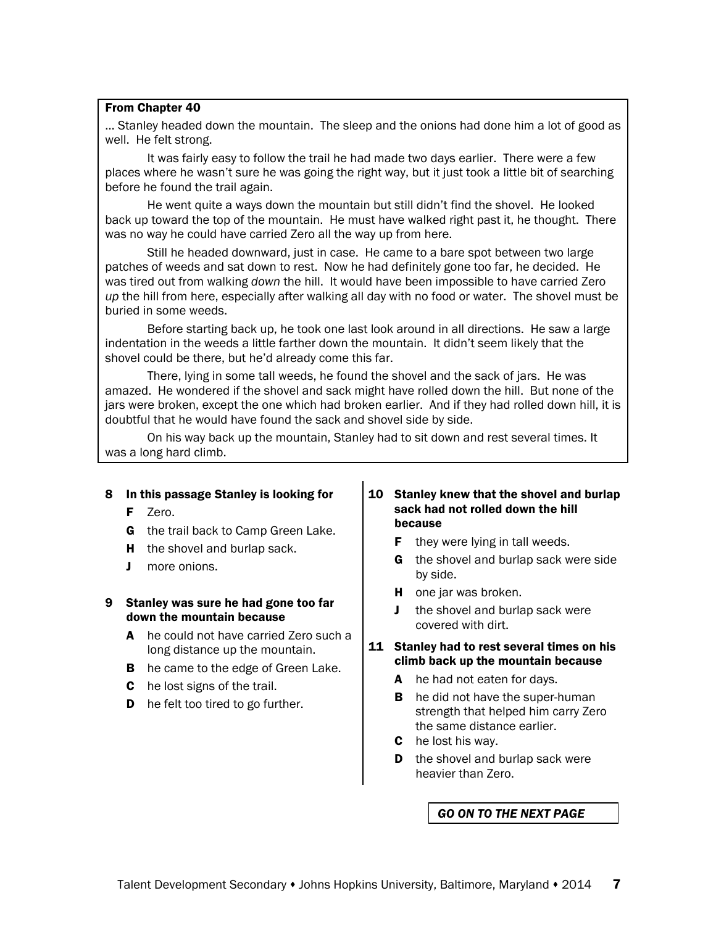#### From Chapter 40

… Stanley headed down the mountain. The sleep and the onions had done him a lot of good as well. He felt strong.

It was fairly easy to follow the trail he had made two days earlier. There were a few places where he wasn't sure he was going the right way, but it just took a little bit of searching before he found the trail again.

He went quite a ways down the mountain but still didn't find the shovel. He looked back up toward the top of the mountain. He must have walked right past it, he thought. There was no way he could have carried Zero all the way up from here.

Still he headed downward, just in case. He came to a bare spot between two large patches of weeds and sat down to rest. Now he had definitely gone too far, he decided. He was tired out from walking *down* the hill. It would have been impossible to have carried Zero *up* the hill from here, especially after walking all day with no food or water. The shovel must be buried in some weeds.

Before starting back up, he took one last look around in all directions. He saw a large indentation in the weeds a little farther down the mountain. It didn't seem likely that the shovel could be there, but he'd already come this far.

There, lying in some tall weeds, he found the shovel and the sack of jars. He was amazed. He wondered if the shovel and sack might have rolled down the hill. But none of the jars were broken, except the one which had broken earlier. And if they had rolled down hill, it is doubtful that he would have found the sack and shovel side by side.

On his way back up the mountain, Stanley had to sit down and rest several times. It was a long hard climb.

# 8 In this passage Stanley is looking for

- F Zero.
- G the trail back to Camp Green Lake.
- **H** the shovel and burlap sack.
- **J** more onions.
- 9 Stanley was sure he had gone too far down the mountain because
	- A he could not have carried Zero such a long distance up the mountain.
	- **B** he came to the edge of Green Lake.
	- C he lost signs of the trail.
	- **D** he felt too tired to go further.

#### 10 Stanley knew that the shovel and burlap sack had not rolled down the hill because

- **F** they were lying in tall weeds.
- **G** the shovel and burlap sack were side by side.
- **H** one jar was broken.
- **J** the shovel and burlap sack were covered with dirt.
- 11 Stanley had to rest several times on his climb back up the mountain because
	- A he had not eaten for days.
	- **B** he did not have the super-human strength that helped him carry Zero the same distance earlier.
	- C he lost his way.
	- **D** the shovel and burlap sack were heavier than Zero.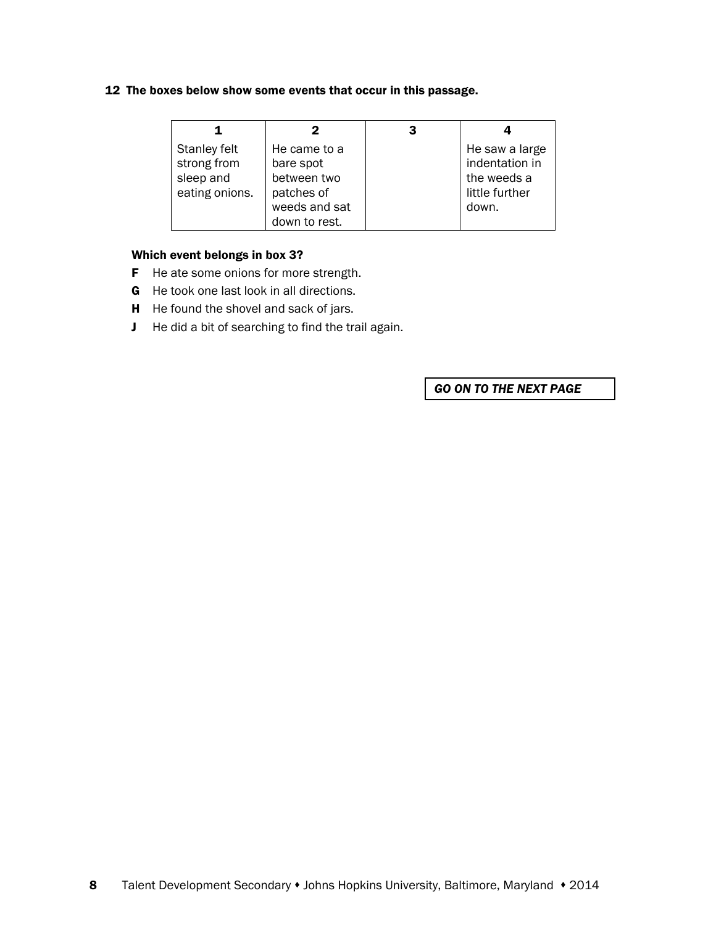#### 12 The boxes below show some events that occur in this passage.

|                                                            |                                                                                          | З |                                                                            |
|------------------------------------------------------------|------------------------------------------------------------------------------------------|---|----------------------------------------------------------------------------|
| Stanley felt<br>strong from<br>sleep and<br>eating onions. | He came to a<br>bare spot<br>between two<br>patches of<br>weeds and sat<br>down to rest. |   | He saw a large<br>indentation in<br>the weeds a<br>little further<br>down. |

#### Which event belongs in box 3?

- F He ate some onions for more strength.
- G He took one last look in all directions.
- H He found the shovel and sack of jars.
- J He did a bit of searching to find the trail again.